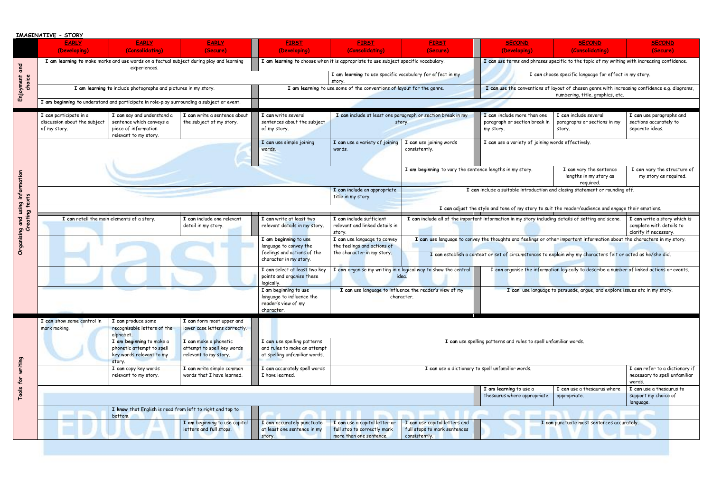|                                  | IMAGINATIVE - STORY                                                                                     |                                                                                                         |                                                                                                          |                                                                                                                                                                            |                                                                                                                         |                                                                                                                              |                                                                                                                                   |                                                                                            |                                                                           |
|----------------------------------|---------------------------------------------------------------------------------------------------------|---------------------------------------------------------------------------------------------------------|----------------------------------------------------------------------------------------------------------|----------------------------------------------------------------------------------------------------------------------------------------------------------------------------|-------------------------------------------------------------------------------------------------------------------------|------------------------------------------------------------------------------------------------------------------------------|-----------------------------------------------------------------------------------------------------------------------------------|--------------------------------------------------------------------------------------------|---------------------------------------------------------------------------|
|                                  | <b>EARLY</b>                                                                                            | <b>EARLY</b>                                                                                            | <b>EARLY</b>                                                                                             | <b>FIRST</b>                                                                                                                                                               | <b>FIRST</b>                                                                                                            | <b>FIRST</b>                                                                                                                 | <b>SECOND</b>                                                                                                                     | <b>SECOND</b>                                                                              | <b>SECOND</b>                                                             |
|                                  | (Developing)                                                                                            | (Consolidating)                                                                                         | (Secure)                                                                                                 | (Developing)                                                                                                                                                               | (Consolidating)                                                                                                         | (Secure)                                                                                                                     | (Developing)                                                                                                                      | (Consolidating)                                                                            | (Secure)                                                                  |
| and<br>Enjoyment<br>choice       | I am learning to make marks and use words on a factual subject during play and learning<br>experiences. |                                                                                                         |                                                                                                          | I am learning to choose when it is appropriate to use subject specific vocabulary.                                                                                         |                                                                                                                         |                                                                                                                              | I can use terms and phrases specific to the topic of my writing with increasing confidence.                                       |                                                                                            |                                                                           |
|                                  |                                                                                                         |                                                                                                         |                                                                                                          | I am learning to use specific vocabulary for effect in my<br>story.                                                                                                        |                                                                                                                         |                                                                                                                              | I can choose specific language for effect in my story.                                                                            |                                                                                            |                                                                           |
|                                  | I am learning to include photographs and pictures in my story.                                          |                                                                                                         |                                                                                                          | I am learning to use some of the conventions of layout for the genre.                                                                                                      |                                                                                                                         |                                                                                                                              | I can use the conventions of layout of chosen genre with increasing confidence e.g. diagrams,<br>numbering, title, graphics, etc. |                                                                                            |                                                                           |
|                                  |                                                                                                         | I am beginning to understand and participate in role-play surrounding a subject or event.               |                                                                                                          |                                                                                                                                                                            |                                                                                                                         |                                                                                                                              |                                                                                                                                   |                                                                                            |                                                                           |
|                                  | I can participate in a<br>discussion about the subject<br>of my story.                                  | I can say and understand a<br>sentence which conveys a<br>piece of information<br>relevant to my story. | I can write a sentence about<br>the subject of my story.                                                 | I can write several<br>sentences about the subject<br>of my story.                                                                                                         | I can include at least one paragraph or section break in my<br>story.                                                   |                                                                                                                              | I can include more than one<br>paragraph or section break in<br>my story.                                                         | I can include several<br>paragraphs or sections in my<br>story.                            | I can use paragraphs and<br>sections accurately to<br>separate ideas.     |
|                                  |                                                                                                         |                                                                                                         |                                                                                                          | I can use simple joining<br>words.                                                                                                                                         | I can use a variety of joining<br>words.                                                                                | I can use joining words<br>consistently.                                                                                     | I can use a variety of joining words effectively.                                                                                 |                                                                                            |                                                                           |
|                                  |                                                                                                         |                                                                                                         |                                                                                                          |                                                                                                                                                                            | I am beginning to vary the sentence lengths in my story.                                                                |                                                                                                                              |                                                                                                                                   | I can vary the sentence<br>lengths in my story as<br>reguired.                             | I can vary the structure of<br>my story as required.                      |
| information<br>texts             |                                                                                                         |                                                                                                         |                                                                                                          |                                                                                                                                                                            | I can include an appropriate<br>title in my story.                                                                      |                                                                                                                              | I can include a suitable introduction and closing statement or rounding off.                                                      |                                                                                            |                                                                           |
| using                            |                                                                                                         |                                                                                                         |                                                                                                          |                                                                                                                                                                            |                                                                                                                         |                                                                                                                              | I can adjust the style and tone of my story to suit the reader/audience and engage their emotions.                                |                                                                                            |                                                                           |
| eating<br>and<br>ũ<br>Organising | I can retell the main elements of a story.<br>I can include one relevant<br>detail in my story.         |                                                                                                         | I can write at least two<br>relevant details in my story.                                                | I can include sufficient<br>I can include all of the important information in my story including details of setting and scene.<br>relevant and linked details in<br>story. |                                                                                                                         |                                                                                                                              | I can write a story which is<br>complete with details to<br>clarify if necessary.                                                 |                                                                                            |                                                                           |
|                                  |                                                                                                         |                                                                                                         | I am beginning to use<br>language to convey the<br>feelings and actions of the<br>character in my story. | I can use language to convey<br>the feelings and actions of<br>the character in my story.                                                                                  | I can use language to convey the thoughts and feelings or other important information about the characters in my story. |                                                                                                                              |                                                                                                                                   |                                                                                            |                                                                           |
|                                  |                                                                                                         |                                                                                                         |                                                                                                          |                                                                                                                                                                            |                                                                                                                         | I can establish a context or set of circumstances to explain why my characters felt or acted as he/she did.                  |                                                                                                                                   |                                                                                            |                                                                           |
|                                  |                                                                                                         |                                                                                                         |                                                                                                          | I can select at least two key<br>points and organise these<br>logically.                                                                                                   | idea.                                                                                                                   | I can organise my writing in a logical way to show the central                                                               |                                                                                                                                   | I can organise the information logically to describe a number of linked actions or events. |                                                                           |
|                                  |                                                                                                         |                                                                                                         |                                                                                                          | I am beginning to use<br>language to influence the<br>reader's view of my<br>character.                                                                                    | I can use language to influence the reader's view of my<br>character.                                                   |                                                                                                                              | I can use language to persuade, argue, and explore issues etc in my story.                                                        |                                                                                            |                                                                           |
|                                  |                                                                                                         |                                                                                                         |                                                                                                          |                                                                                                                                                                            |                                                                                                                         |                                                                                                                              |                                                                                                                                   |                                                                                            |                                                                           |
|                                  | I can show some control in<br>mark making.                                                              | I can produce some<br>recognisable letters of the<br>alphabet.                                          | I can form most upper and<br>lower case letters correctly.                                               |                                                                                                                                                                            |                                                                                                                         |                                                                                                                              |                                                                                                                                   |                                                                                            |                                                                           |
|                                  |                                                                                                         | I am beginning to make a<br>phonetic attempt to spell<br>key words relevant to my<br>story.             | I can make a phonetic<br>attempt to spell key words<br>relevant to my story.                             | I can use spelling patterns and rules to spell unfamiliar words.<br>I can use spelling patterns<br>and rules to make an attempt<br>at spelling unfamiliar words.           |                                                                                                                         |                                                                                                                              |                                                                                                                                   |                                                                                            |                                                                           |
| writing<br>for                   |                                                                                                         | I can copy key words<br>relevant to my story.                                                           | I can write simple common<br>words that I have learned.                                                  | I can accurately spell words<br>I have learned.                                                                                                                            | I can use a dictionary to spell unfamiliar words.                                                                       |                                                                                                                              |                                                                                                                                   |                                                                                            | I can refer to a dictionary if<br>necessary to spell unfamiliar<br>words. |
| Tools                            |                                                                                                         |                                                                                                         |                                                                                                          |                                                                                                                                                                            |                                                                                                                         |                                                                                                                              | I am learning to use a                                                                                                            | I can use a thesaurus where                                                                | I can use a thesaurus to                                                  |
|                                  |                                                                                                         |                                                                                                         |                                                                                                          |                                                                                                                                                                            |                                                                                                                         |                                                                                                                              | thesaurus where appropriate.                                                                                                      | appropriate.                                                                               | support my choice of<br>language.                                         |
|                                  | I know that English is read from left to right and top to<br>bottom.                                    |                                                                                                         |                                                                                                          |                                                                                                                                                                            |                                                                                                                         |                                                                                                                              |                                                                                                                                   |                                                                                            |                                                                           |
|                                  |                                                                                                         |                                                                                                         | I am beginning to use capital<br>letters and full stops.                                                 | I can accurately punctuate<br>at least one sentence in my<br>story.                                                                                                        | I can use a capital letter or<br>full stop to correctly mark<br>more than one sentence.                                 | I can use capital letters and<br>I can punctuate most sentences accurately.<br>full stops to mark sentences<br>consistently. |                                                                                                                                   |                                                                                            |                                                                           |
|                                  |                                                                                                         |                                                                                                         |                                                                                                          |                                                                                                                                                                            |                                                                                                                         |                                                                                                                              |                                                                                                                                   |                                                                                            |                                                                           |

| <b>FIRST</b>                                                               | <b>SECOND</b>                                                                                                                     | <b>SECOND</b>                                                                               | <b>SECOND</b>                                                                     |  |  |  |  |
|----------------------------------------------------------------------------|-----------------------------------------------------------------------------------------------------------------------------------|---------------------------------------------------------------------------------------------|-----------------------------------------------------------------------------------|--|--|--|--|
| (Secure)                                                                   | (Developing)                                                                                                                      | (Consolidating)                                                                             | (Secure)                                                                          |  |  |  |  |
| cific vocabulary.                                                          |                                                                                                                                   | I can use terms and phrases specific to the topic of my writing with increasing confidence. |                                                                                   |  |  |  |  |
| bulary for effect in my                                                    | I can choose specific language for effect in my story.                                                                            |                                                                                             |                                                                                   |  |  |  |  |
| it for the genre.                                                          | I can use the conventions of layout of chosen genre with increasing confidence e.g. diagrams,<br>numbering, title, graphics, etc. |                                                                                             |                                                                                   |  |  |  |  |
|                                                                            |                                                                                                                                   |                                                                                             |                                                                                   |  |  |  |  |
| raph or section break in my                                                | I can include more than one                                                                                                       | I can include several                                                                       | I can use paragraphs and                                                          |  |  |  |  |
|                                                                            | paragraph or section break in                                                                                                     | paragraphs or sections in my                                                                | sections accurately to                                                            |  |  |  |  |
|                                                                            | my story.                                                                                                                         | story.                                                                                      | separate ideas.                                                                   |  |  |  |  |
| can use joining words<br>onsistently.                                      |                                                                                                                                   | I can use a variety of joining words effectively.                                           |                                                                                   |  |  |  |  |
|                                                                            |                                                                                                                                   |                                                                                             |                                                                                   |  |  |  |  |
| am beginning to vary the sentence lengths in my story.                     |                                                                                                                                   | I can vary the sentence                                                                     | I can vary the structure of                                                       |  |  |  |  |
|                                                                            |                                                                                                                                   | lengths in my story as<br>reguired.                                                         | my story as required.                                                             |  |  |  |  |
|                                                                            | I can include a suitable introduction and closing statement or rounding off.                                                      |                                                                                             |                                                                                   |  |  |  |  |
|                                                                            |                                                                                                                                   |                                                                                             |                                                                                   |  |  |  |  |
|                                                                            |                                                                                                                                   |                                                                                             |                                                                                   |  |  |  |  |
|                                                                            | I can adjust the style and tone of my story to suit the reader/audience and engage their emotions.                                |                                                                                             |                                                                                   |  |  |  |  |
|                                                                            | I can include all of the important information in my story including details of setting and scene.                                |                                                                                             | I can write a story which is<br>complete with details to<br>clarify if necessary. |  |  |  |  |
|                                                                            | I can use language to convey the thoughts and feelings or other important information about the characters in my story.           |                                                                                             |                                                                                   |  |  |  |  |
|                                                                            | I can establish a context or set of circumstances to explain why my characters felt or acted as he/she did.                       |                                                                                             |                                                                                   |  |  |  |  |
| ical way to show the central                                               |                                                                                                                                   | I can organise the information logically to describe a number of linked actions or events.  |                                                                                   |  |  |  |  |
| e the reader's view of my                                                  |                                                                                                                                   | I can use language to persuade, argue, and explore issues etc in my story.                  |                                                                                   |  |  |  |  |
| er.                                                                        |                                                                                                                                   |                                                                                             |                                                                                   |  |  |  |  |
|                                                                            |                                                                                                                                   |                                                                                             |                                                                                   |  |  |  |  |
|                                                                            |                                                                                                                                   |                                                                                             |                                                                                   |  |  |  |  |
|                                                                            |                                                                                                                                   |                                                                                             |                                                                                   |  |  |  |  |
|                                                                            |                                                                                                                                   |                                                                                             |                                                                                   |  |  |  |  |
|                                                                            | I can use spelling patterns and rules to spell unfamiliar words.                                                                  |                                                                                             |                                                                                   |  |  |  |  |
|                                                                            |                                                                                                                                   |                                                                                             |                                                                                   |  |  |  |  |
| I can use a dictionary to spell unfamiliar words.                          | I can refer to a dictionary if<br>necessary to spell unfamiliar<br>words.                                                         |                                                                                             |                                                                                   |  |  |  |  |
|                                                                            | I am learning to use a                                                                                                            | I can use a thesaurus where                                                                 | I can use a thesaurus to                                                          |  |  |  |  |
|                                                                            | thesaurus where appropriate.                                                                                                      | appropriate.                                                                                | support my choice of<br>language.                                                 |  |  |  |  |
|                                                                            |                                                                                                                                   |                                                                                             |                                                                                   |  |  |  |  |
| can use capital letters and<br>ull stops to mark sentences<br>onsistently. |                                                                                                                                   | I can punctuate most sentences accurately.                                                  |                                                                                   |  |  |  |  |
|                                                                            |                                                                                                                                   |                                                                                             |                                                                                   |  |  |  |  |
|                                                                            |                                                                                                                                   |                                                                                             |                                                                                   |  |  |  |  |